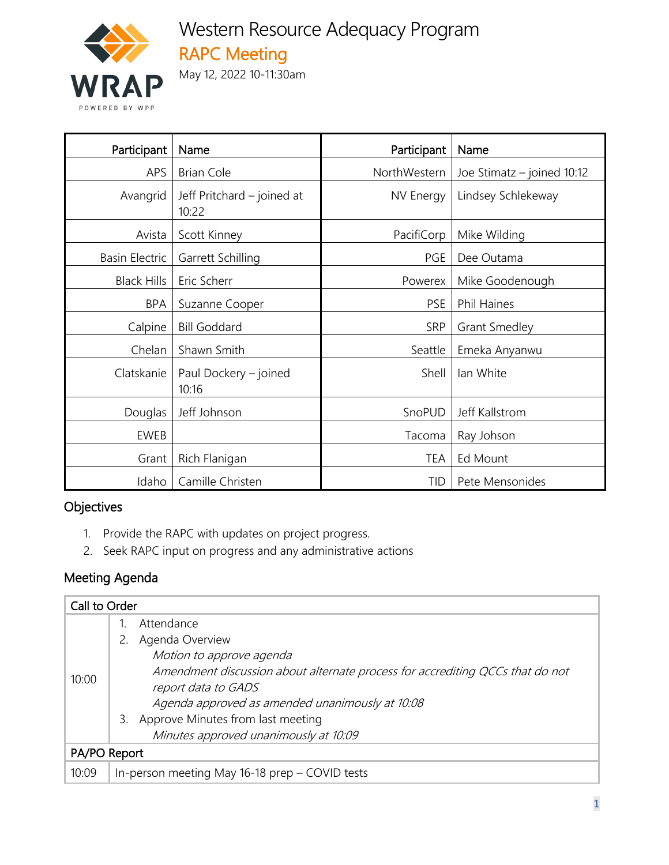

# Western Resource Adequacy Program RAPC Meeting

May 12, 2022 10-11:30am

| Participant           | Participant<br>Name                 |                               | Name                       |  |
|-----------------------|-------------------------------------|-------------------------------|----------------------------|--|
| <b>APS</b>            | <b>Brian Cole</b>                   | NorthWestern                  | Joe Stimatz - joined 10:12 |  |
| Avangrid              | Jeff Pritchard – joined at<br>10:22 | NV Energy                     | Lindsey Schlekeway         |  |
| Avista                | Scott Kinney                        | PacifiCorp                    | Mike Wilding               |  |
| <b>Basin Electric</b> | Garrett Schilling                   | PGE                           | Dee Outama                 |  |
| <b>Black Hills</b>    | Eric Scherr                         | Powerex                       | Mike Goodenough            |  |
| <b>BPA</b>            | Suzanne Cooper                      | <b>PSE</b>                    | <b>Phil Haines</b>         |  |
| Calpine               | <b>Bill Goddard</b>                 | <b>SRP</b>                    | <b>Grant Smedley</b>       |  |
| Chelan                | Shawn Smith                         | Seattle                       | Emeka Anyanwu              |  |
| Clatskanie            | Paul Dockery - joined<br>10:16      | Shell                         | lan White                  |  |
| Douglas               | Jeff Johnson                        | SnoPUD                        | Jeff Kallstrom             |  |
| EWEB                  |                                     | Tacoma                        | Ray Johson                 |  |
| Grant                 | Rich Flanigan                       | Ed Mount<br><b>TEA</b>        |                            |  |
| Idaho                 | Camille Christen                    | Pete Mensonides<br><b>TID</b> |                            |  |

# Objectives

- 1. Provide the RAPC with updates on project progress.
- 2. Seek RAPC input on progress and any administrative actions

### Meeting Agenda

| Call to Order |                                                                               |  |
|---------------|-------------------------------------------------------------------------------|--|
|               | Attendance                                                                    |  |
| 10:00         | Agenda Overview                                                               |  |
|               | Motion to approve agenda                                                      |  |
|               | Amendment discussion about alternate process for accrediting QCCs that do not |  |
|               | report data to GADS                                                           |  |
|               | Agenda approved as amended unanimously at 10:08                               |  |
|               | Approve Minutes from last meeting<br>3.                                       |  |
|               | Minutes approved unanimously at 10:09                                         |  |
| PA/PO Report  |                                                                               |  |
| 10:09         | In-person meeting May 16-18 prep - COVID tests                                |  |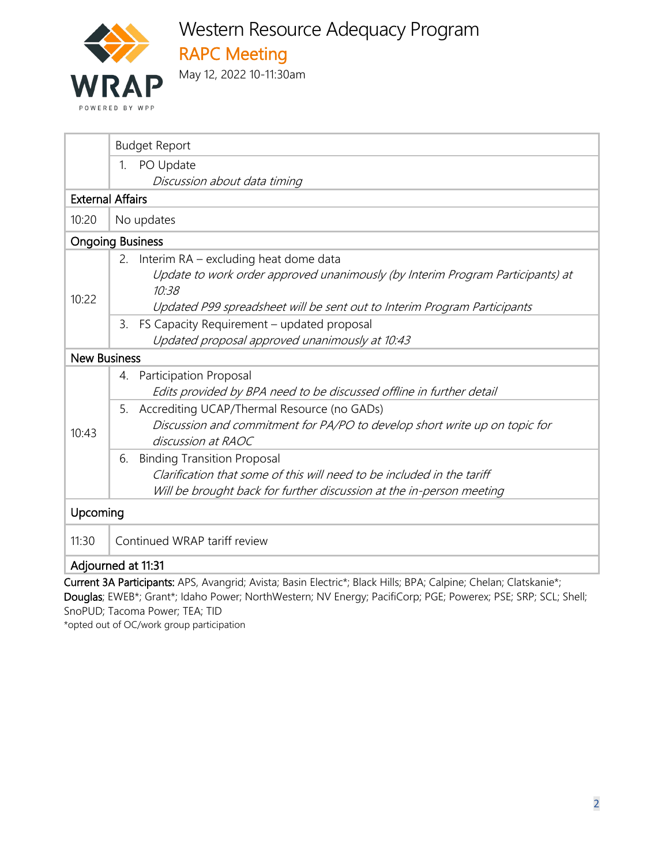

Western Resource Adequacy Program RAPC Meeting

May 12, 2022 10-11:30am

| <b>Budget Report</b>                                                                                                                                                                       |  |  |  |  |
|--------------------------------------------------------------------------------------------------------------------------------------------------------------------------------------------|--|--|--|--|
| PO Update<br>1.                                                                                                                                                                            |  |  |  |  |
| Discussion about data timing                                                                                                                                                               |  |  |  |  |
| <b>External Affairs</b>                                                                                                                                                                    |  |  |  |  |
| 10:20<br>No updates                                                                                                                                                                        |  |  |  |  |
| <b>Ongoing Business</b>                                                                                                                                                                    |  |  |  |  |
| 2. Interim RA – excluding heat dome data<br>Update to work order approved unanimously (by Interim Program Participants) at<br>10:38<br>10:22                                               |  |  |  |  |
| Updated P99 spreadsheet will be sent out to Interim Program Participants                                                                                                                   |  |  |  |  |
| FS Capacity Requirement - updated proposal<br>3.<br>Updated proposal approved unanimously at 10:43                                                                                         |  |  |  |  |
| <b>New Business</b>                                                                                                                                                                        |  |  |  |  |
| Participation Proposal<br>4.<br>Edits provided by BPA need to be discussed offline in further detail                                                                                       |  |  |  |  |
| Accrediting UCAP/Thermal Resource (no GADs)<br>5.<br>Discussion and commitment for PA/PO to develop short write up on topic for<br>10:43<br>discussion at RAOC                             |  |  |  |  |
| <b>Binding Transition Proposal</b><br>6.<br>Clarification that some of this will need to be included in the tariff<br>Will be brought back for further discussion at the in-person meeting |  |  |  |  |
| Upcoming                                                                                                                                                                                   |  |  |  |  |
| Continued WRAP tariff review<br>11:30                                                                                                                                                      |  |  |  |  |
| Adjourned at 11:31<br>$\mathbf{r}$ and $\mathbf{r}$ is the state of the state of $\mathbf{r}$                                                                                              |  |  |  |  |

Current 3A Participants: APS, Avangrid; Avista; Basin Electric\*; Black Hills; BPA; Calpine; Chelan; Clatskanie\*; Douglas; EWEB\*; Grant\*; Idaho Power; NorthWestern; NV Energy; PacifiCorp; PGE; Powerex; PSE; SRP; SCL; Shell; SnoPUD; Tacoma Power; TEA; TID

\*opted out of OC/work group participation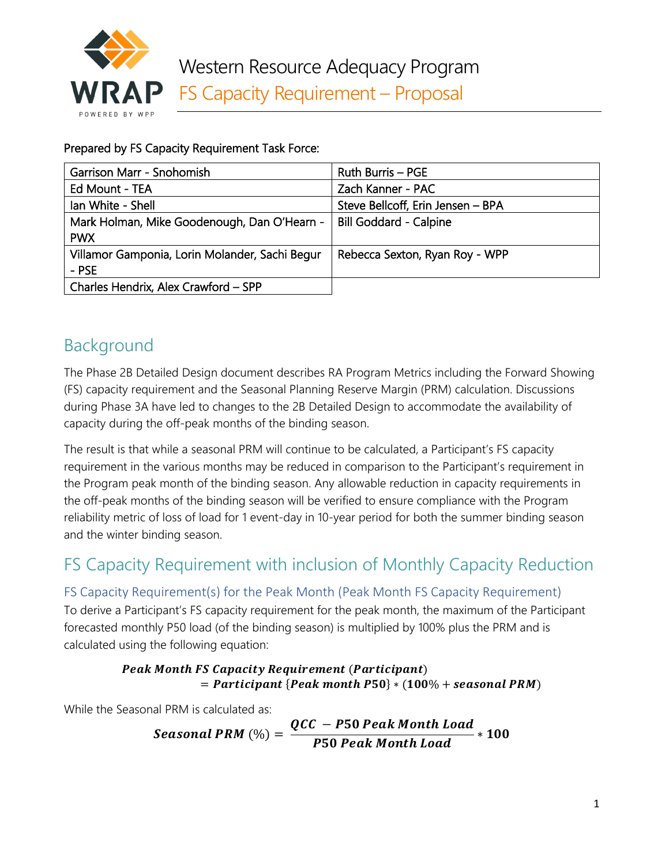

Prepared by FS Capacity Requirement Task Force:

| Garrison Marr - Snohomish                      | <b>Ruth Burris - PGE</b>          |
|------------------------------------------------|-----------------------------------|
| Ed Mount - TEA                                 | Zach Kanner - PAC                 |
| Ian White - Shell                              | Steve Bellcoff, Erin Jensen - BPA |
| Mark Holman, Mike Goodenough, Dan O'Hearn -    | <b>Bill Goddard - Calpine</b>     |
| <b>PWX</b>                                     |                                   |
| Villamor Gamponia, Lorin Molander, Sachi Begur | Rebecca Sexton, Ryan Roy - WPP    |
| - PSE                                          |                                   |
| Charles Hendrix, Alex Crawford - SPP           |                                   |

# Background

The Phase 2B Detailed Design document describes RA Program Metrics including the Forward Showing (FS) capacity requirement and the Seasonal Planning Reserve Margin (PRM) calculation. Discussions during Phase 3A have led to changes to the 2B Detailed Design to accommodate the availability of capacity during the off-peak months of the binding season.

The result is that while a seasonal PRM will continue to be calculated, a Participant's FS capacity requirement in the various months may be reduced in comparison to the Participant's requirement in the Program peak month of the binding season. Any allowable reduction in capacity requirements in the off-peak months of the binding season will be verified to ensure compliance with the Program reliability metric of loss of load for 1 event-day in 10-year period for both the summer binding season and the winter binding season.

# FS Capacity Requirement with inclusion of Monthly Capacity Reduction

# FS Capacity Requirement(s) for the Peak Month (Peak Month FS Capacity Requirement)

To derive a Participant's FS capacity requirement for the peak month, the maximum of the Participant forecasted monthly P50 load (of the binding season) is multiplied by 100% plus the PRM and is calculated using the following equation:

#### **Peak Month FS Capacity Requirement (Participant)**  $=$  Participant {Peak month P50}  $*(100\% +$  seasonal PRM)

While the Seasonal PRM is calculated as:

 $PRM\left(\%\right) = \frac{QCC - P50 \text{ Peak Month Load}}{P50 \text{ peak Month load}}$ *P50 Peak Month Load* \* 100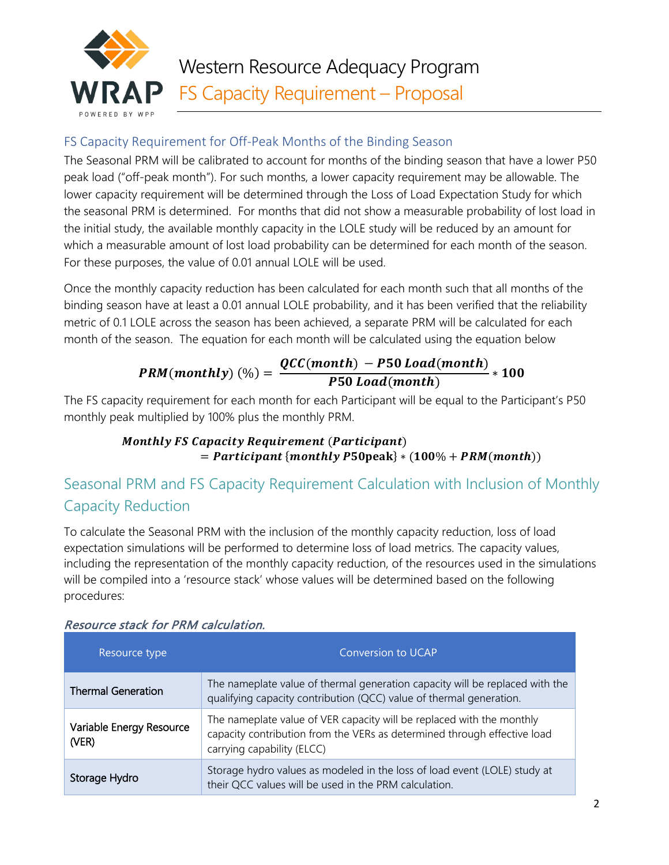

## FS Capacity Requirement for Off-Peak Months of the Binding Season

The Seasonal PRM will be calibrated to account for months of the binding season that have a lower P50 peak load ("off-peak month"). For such months, a lower capacity requirement may be allowable. The lower capacity requirement will be determined through the Loss of Load Expectation Study for which the seasonal PRM is determined. For months that did not show a measurable probability of lost load in the initial study, the available monthly capacity in the LOLE study will be reduced by an amount for which a measurable amount of lost load probability can be determined for each month of the season. For these purposes, the value of 0.01 annual LOLE will be used.

Once the monthly capacity reduction has been calculated for each month such that all months of the binding season have at least a 0.01 annual LOLE probability, and it has been verified that the reliability metric of 0.1 LOLE across the season has been achieved, a separate PRM will be calculated for each month of the season. The equation for each month will be calculated using the equation below

# $PRM(month)$  (%) =  $\frac{QCC(month) - P50\text{ }Load(month)}{P50\text{ }load(menth)}$  $\overline{P50\,Load(month)}$  \* 100

The FS capacity requirement for each month for each Participant will be equal to the Participant's P50 monthly peak multiplied by 100% plus the monthly PRM.

### **Monthly FS Capacity Requirement (Participant)**  $=$  Participant {monthly P50peak}  $*(100\% + PRM(month))$

# Seasonal PRM and FS Capacity Requirement Calculation with Inclusion of Monthly Capacity Reduction

To calculate the Seasonal PRM with the inclusion of the monthly capacity reduction, loss of load expectation simulations will be performed to determine loss of load metrics. The capacity values, including the representation of the monthly capacity reduction, of the resources used in the simulations will be compiled into a 'resource stack' whose values will be determined based on the following procedures:

| Resource type                     | <b>Conversion to UCAP</b>                                                                                                                                                       |
|-----------------------------------|---------------------------------------------------------------------------------------------------------------------------------------------------------------------------------|
| <b>Thermal Generation</b>         | The nameplate value of thermal generation capacity will be replaced with the<br>qualifying capacity contribution (QCC) value of thermal generation.                             |
| Variable Energy Resource<br>(VER) | The nameplate value of VER capacity will be replaced with the monthly<br>capacity contribution from the VERs as determined through effective load<br>carrying capability (ELCC) |
| Storage Hydro                     | Storage hydro values as modeled in the loss of load event (LOLE) study at<br>their QCC values will be used in the PRM calculation.                                              |

#### Resource stack for PRM calculation.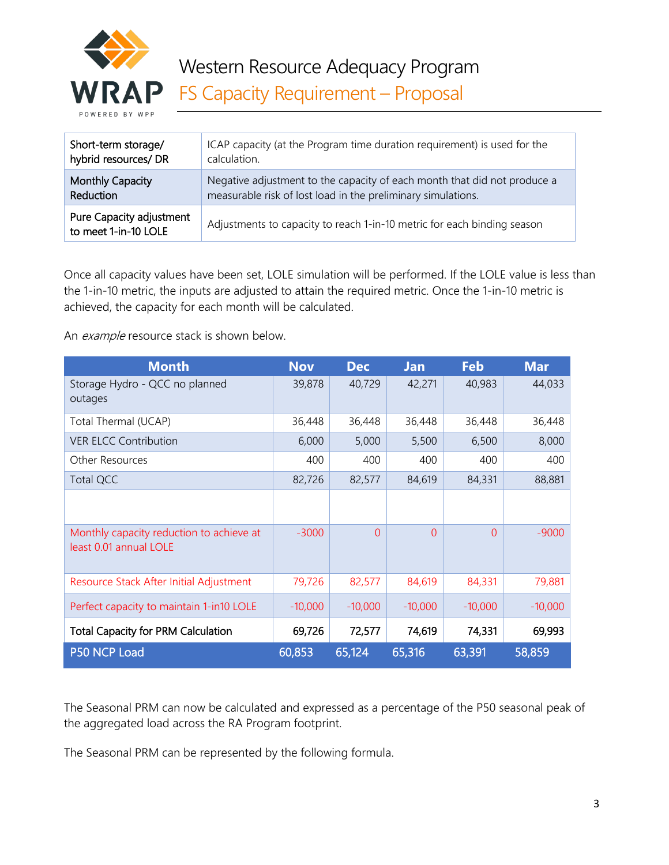

| Short-term storage/                              | ICAP capacity (at the Program time duration requirement) is used for the |
|--------------------------------------------------|--------------------------------------------------------------------------|
| hybrid resources/ DR                             | calculation.                                                             |
| <b>Monthly Capacity</b>                          | Negative adjustment to the capacity of each month that did not produce a |
| Reduction                                        | measurable risk of lost load in the preliminary simulations.             |
| Pure Capacity adjustment<br>to meet 1-in-10 LOLE | Adjustments to capacity to reach 1-in-10 metric for each binding season  |

Once all capacity values have been set, LOLE simulation will be performed. If the LOLE value is less than the 1-in-10 metric, the inputs are adjusted to attain the required metric. Once the 1-in-10 metric is achieved, the capacity for each month will be calculated.

An example resource stack is shown below.

| <b>Month</b>                                                       | <b>Nov</b> | <b>Dec</b> | <b>Jan</b> | Feb       | <b>Mar</b> |
|--------------------------------------------------------------------|------------|------------|------------|-----------|------------|
| Storage Hydro - QCC no planned<br>outages                          | 39,878     | 40,729     | 42,271     | 40,983    | 44,033     |
| Total Thermal (UCAP)                                               | 36,448     | 36,448     | 36,448     | 36,448    | 36,448     |
| <b>VER ELCC Contribution</b>                                       | 6,000      | 5,000      | 5,500      | 6,500     | 8,000      |
| <b>Other Resources</b>                                             | 400        | 400        | 400        | 400       | 400        |
| Total QCC                                                          | 82,726     | 82,577     | 84,619     | 84,331    | 88,881     |
|                                                                    |            |            |            |           |            |
| Monthly capacity reduction to achieve at<br>least 0.01 annual LOLE | $-3000$    | $\Omega$   | $\Omega$   | $\Omega$  | $-9000$    |
| Resource Stack After Initial Adjustment                            | 79,726     | 82,577     | 84,619     | 84,331    | 79,881     |
| Perfect capacity to maintain 1-in10 LOLE                           | $-10,000$  | $-10,000$  | $-10,000$  | $-10,000$ | $-10,000$  |
| <b>Total Capacity for PRM Calculation</b>                          | 69,726     | 72,577     | 74,619     | 74,331    | 69,993     |
| P50 NCP Load                                                       | 60,853     | 65,124     | 65,316     | 63,391    | 58,859     |

The Seasonal PRM can now be calculated and expressed as a percentage of the P50 seasonal peak of the aggregated load across the RA Program footprint.

The Seasonal PRM can be represented by the following formula.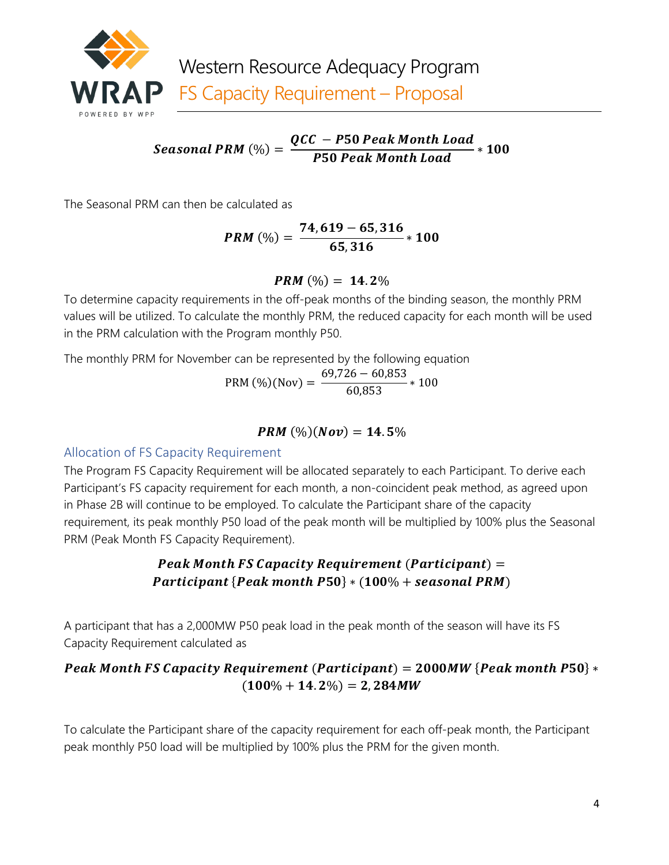

 $PRM\left(\%\right) = \frac{QCC - P50 \text{ Peak Month Load}}{P50 \text{ peak Month load}}$ *P50 Peak Month Load* \* 100

The Seasonal PRM can then be calculated as

$$
PRM\left(\% \right)=\frac{74,619-65,316}{65,316}*100
$$

#### **PRM**  $(\%) = 14.2\%$

To determine capacity requirements in the off-peak months of the binding season, the monthly PRM values will be utilized. To calculate the monthly PRM, the reduced capacity for each month will be used in the PRM calculation with the Program monthly P50.

The monthly PRM for November can be represented by the following equation

PRM (%)(Nov) =  $\frac{69,726 - 60,853}{60,853}$  \* 100

#### **PRM**  $(\%) (Nov) = 14.5\%$

#### Allocation of FS Capacity Requirement

The Program FS Capacity Requirement will be allocated separately to each Participant. To derive each Participant's FS capacity requirement for each month, a non-coincident peak method, as agreed upon in Phase 2B will continue to be employed. To calculate the Participant share of the capacity requirement, its peak monthly P50 load of the peak month will be multiplied by 100% plus the Seasonal PRM (Peak Month FS Capacity Requirement).

## Peak Month FS Capacity Requirement (Participant)  $=$  $\textit{Participant} \left\{\textit{Peak month} \ \textit{P50} \right\} * \left(100\% + \textit{seasonal PRM} \right)$

A participant that has a 2,000MW P50 peak load in the peak month of the season will have its FS Capacity Requirement calculated as

# Peak Month FS Capacity Requirement (Participant) =  $2000MW$  {Peak month P50}  $*$  $(100\% + 14.2\%) = 2,284MW$

To calculate the Participant share of the capacity requirement for each off-peak month, the Participant peak monthly P50 load will be multiplied by 100% plus the PRM for the given month.